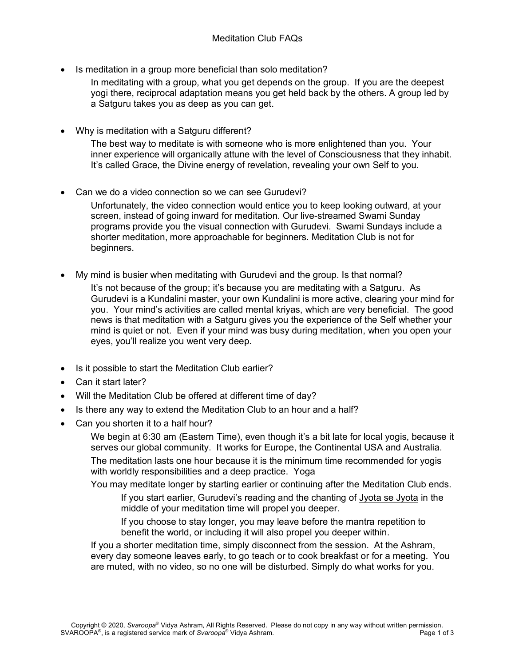• Is meditation in a group more beneficial than solo meditation?

In meditating with a group, what you get depends on the group. If you are the deepest yogi there, reciprocal adaptation means you get held back by the others. A group led by a Satguru takes you as deep as you can get.

• Why is meditation with a Satguru different?

The best way to meditate is with someone who is more enlightened than you. Your inner experience will organically attune with the level of Consciousness that they inhabit. It's called Grace, the Divine energy of revelation, revealing your own Self to you.

Can we do a video connection so we can see Gurudevi?

Unfortunately, the video connection would entice you to keep looking outward, at your screen, instead of going inward for meditation. Our live-streamed Swami Sunday programs provide you the visual connection with Gurudevi. Swami Sundays include a shorter meditation, more approachable for beginners. Meditation Club is not for beginners.

• My mind is busier when meditating with Gurudevi and the group. Is that normal?

It's not because of the group; it's because you are meditating with a Satguru. As Gurudevi is a Kundalini master, your own Kundalini is more active, clearing your mind for you. Your mind's activities are called mental kriyas, which are very beneficial. The good news is that meditation with a Satguru gives you the experience of the Self whether your mind is quiet or not. Even if your mind was busy during meditation, when you open your eyes, you'll realize you went very deep.

- Is it possible to start the Meditation Club earlier?
- Can it start later?
- Will the Meditation Club be offered at different time of day?
- Is there any way to extend the Meditation Club to an hour and a half?
- Can you shorten it to a half hour?

We begin at 6:30 am (Eastern Time), even though it's a bit late for local yogis, because it serves our global community. It works for Europe, the Continental USA and Australia. The meditation lasts one hour because it is the minimum time recommended for yogis with worldly responsibilities and a deep practice. Yoga

You may meditate longer by starting earlier or continuing after the Meditation Club ends. If you start earlier, Gurudevi's reading and the chanting of Jyota se Jyota in the middle of your meditation time will propel you deeper.

If you choose to stay longer, you may leave before the mantra repetition to benefit the world, or including it will also propel you deeper within.

If you a shorter meditation time, simply disconnect from the session. At the Ashram, every day someone leaves early, to go teach or to cook breakfast or for a meeting. You are muted, with no video, so no one will be disturbed. Simply do what works for you.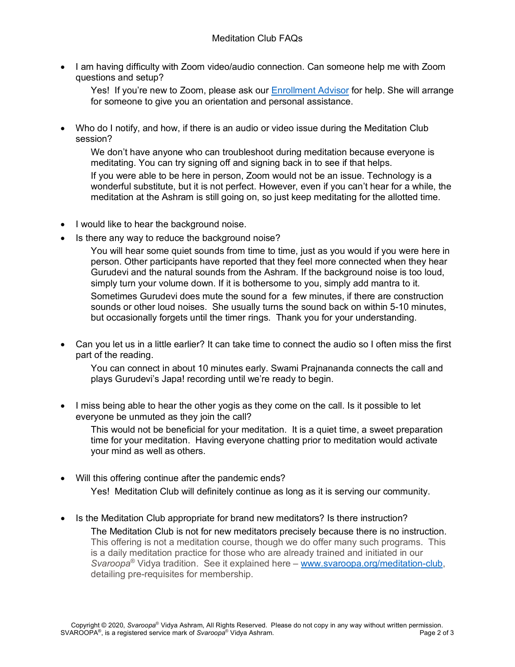• I am having difficulty with Zoom video/audio connection. Can someone help me with Zoom questions and setup?

Yes! If you're new to Zoom, please ask our [Enrollment Advisor](mailto:program@svaroopayoga.org) for help. She will arrange for someone to give you an orientation and personal assistance.

• Who do I notify, and how, if there is an audio or video issue during the Meditation Club session?

We don't have anyone who can troubleshoot during meditation because everyone is meditating. You can try signing off and signing back in to see if that helps.

If you were able to be here in person, Zoom would not be an issue. Technology is a wonderful substitute, but it is not perfect. However, even if you can't hear for a while, the meditation at the Ashram is still going on, so just keep meditating for the allotted time.

- I would like to hear the background noise.
- Is there any way to reduce the background noise?

You will hear some quiet sounds from time to time, just as you would if you were here in person. Other participants have reported that they feel more connected when they hear Gurudevi and the natural sounds from the Ashram. If the background noise is too loud, simply turn your volume down. If it is bothersome to you, simply add mantra to it.

Sometimes Gurudevi does mute the sound for a few minutes, if there are construction sounds or other loud noises. She usually turns the sound back on within 5-10 minutes, but occasionally forgets until the timer rings. Thank you for your understanding.

• Can you let us in a little earlier? It can take time to connect the audio so I often miss the first part of the reading.

You can connect in about 10 minutes early. Swami Prajnananda connects the call and plays Gurudevi's Japa! recording until we're ready to begin.

• I miss being able to hear the other yogis as they come on the call. Is it possible to let everyone be unmuted as they join the call?

This would not be beneficial for your meditation. It is a quiet time, a sweet preparation time for your meditation. Having everyone chatting prior to meditation would activate your mind as well as others.

- Will this offering continue after the pandemic ends? Yes! Meditation Club will definitely continue as long as it is serving our community.
- Is the Meditation Club appropriate for brand new meditators? Is there instruction? The Meditation Club is not for new meditators precisely because there is no instruction. This offering is not a meditation course, though we do offer many such programs. This is a daily meditation practice for those who are already trained and initiated in our *Svaroopa*® Vidya tradition. See it explained here – [www.svaroopa.org/meditation-club,](http://www.svaroopa.org/meditation-club) detailing pre-requisites for membership.